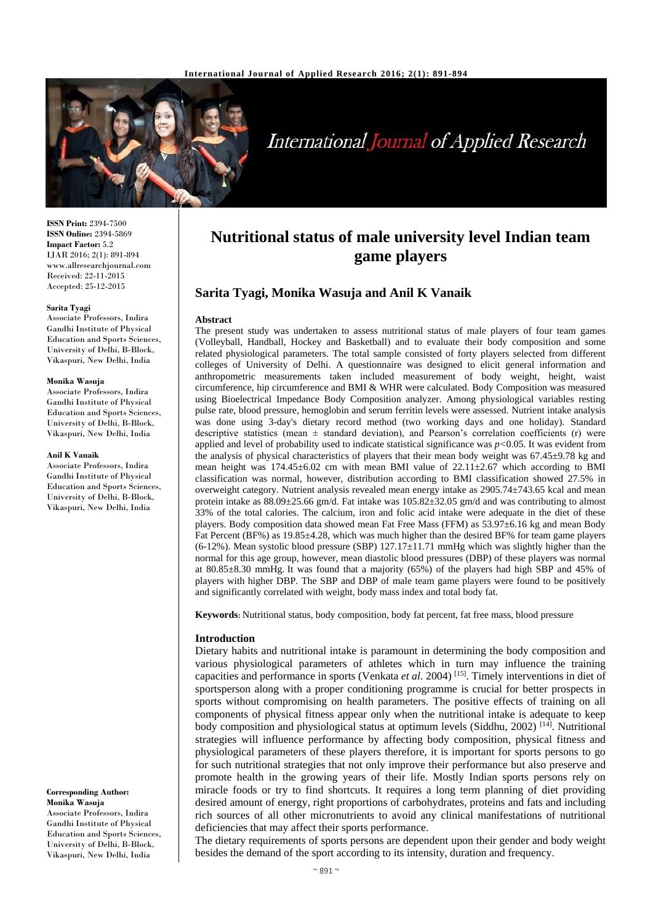

# International Journal of Applied Research

**ISSN Print:** 2394-7500 **ISSN Online:** 2394-5869 **Impact Factor:** 5.2 IJAR 2016; 2(1): 891-894 www.allresearchjournal.com Received: 22-11-2015 Accepted: 25-12-2015

#### **Sarita Tyagi**

Associate Professors, Indira Gandhi Institute of Physical Education and Sports Sciences, University of Delhi, B-Block, Vikaspuri, New Delhi, India

#### **Monika Wasuja**

Associate Professors, Indira Gandhi Institute of Physical Education and Sports Sciences, University of Delhi, B-Block, Vikaspuri, New Delhi, India

#### **Anil K Vanaik**

Associate Professors, Indira Gandhi Institute of Physical Education and Sports Sciences, University of Delhi, B-Block, Vikaspuri, New Delhi, India

**Corresponding Author: Monika Wasuja** Associate Professors, Indira Gandhi Institute of Physical Education and Sports Sciences, University of Delhi, B-Block, Vikaspuri, New Delhi, India

# **Nutritional status of male university level Indian team game players**

# **Sarita Tyagi, Monika Wasuja and Anil K Vanaik**

#### **Abstract**

The present study was undertaken to assess nutritional status of male players of four team games (Volleyball, Handball, Hockey and Basketball) and to evaluate their body composition and some related physiological parameters. The total sample consisted of forty players selected from different colleges of University of Delhi. A questionnaire was designed to elicit general information and anthropometric measurements taken included measurement of body weight, height, waist circumference, hip circumference and BMI & WHR were calculated. Body Composition was measured using Bioelectrical Impedance Body Composition analyzer. Among physiological variables resting pulse rate, blood pressure, hemoglobin and serum ferritin levels were assessed. Nutrient intake analysis was done using 3-day's dietary record method (two working days and one holiday). Standard descriptive statistics (mean  $\pm$  standard deviation), and Pearson's correlation coefficients (r) were applied and level of probability used to indicate statistical significance was *p<*0.05. It was evident from the analysis of physical characteristics of players that their mean body weight was 67.45±9.78 kg and mean height was  $174.45\pm6.02$  cm with mean BMI value of  $22.11\pm2.67$  which according to BMI classification was normal, however, distribution according to BMI classification showed 27.5% in overweight category. Nutrient analysis revealed mean energy intake as 2905.74±743.65 kcal and mean protein intake as 88.09±25.66 gm/d. Fat intake was 105.82±32.05 gm/d and was contributing to almost 33% of the total calories. The calcium, iron and folic acid intake were adequate in the diet of these players. Body composition data showed mean Fat Free Mass (FFM) as  $53.97\pm6.16$  kg and mean Body Fat Percent (BF%) as 19.85±4.28, which was much higher than the desired BF% for team game players  $(6-12%)$ . Mean systolic blood pressure (SBP) 127.17 $\pm$ 11.71 mmHg which was slightly higher than the normal for this age group, however, mean diastolic blood pressures (DBP) of these players was normal at 80.85±8.30 mmHg. It was found that a majority (65%) of the players had high SBP and 45% of players with higher DBP. The SBP and DBP of male team game players were found to be positively and significantly correlated with weight, body mass index and total body fat.

**Keywords:** Nutritional status, body composition, body fat percent, fat free mass, blood pressure

#### **Introduction**

Dietary habits and nutritional intake is paramount in determining the body composition and various physiological parameters of athletes which in turn may influence the training capacities and performance in sports (Venkata *et al*. 2004) [15]. Timely interventions in diet of sportsperson along with a proper conditioning programme is crucial for better prospects in sports without compromising on health parameters. The positive effects of training on all components of physical fitness appear only when the nutritional intake is adequate to keep body composition and physiological status at optimum levels (Siddhu, 2002)<sup>[14]</sup>. Nutritional strategies will influence performance by affecting body composition, physical fitness and physiological parameters of these players therefore, it is important for sports persons to go for such nutritional strategies that not only improve their performance but also preserve and promote health in the growing years of their life. Mostly Indian sports persons rely on miracle foods or try to find shortcuts. It requires a long term planning of diet providing desired amount of energy, right proportions of carbohydrates, proteins and fats and including rich sources of all other micronutrients to avoid any clinical manifestations of nutritional deficiencies that may affect their sports performance.

The dietary requirements of sports persons are dependent upon their gender and body weight besides the demand of the sport according to its intensity, duration and frequency.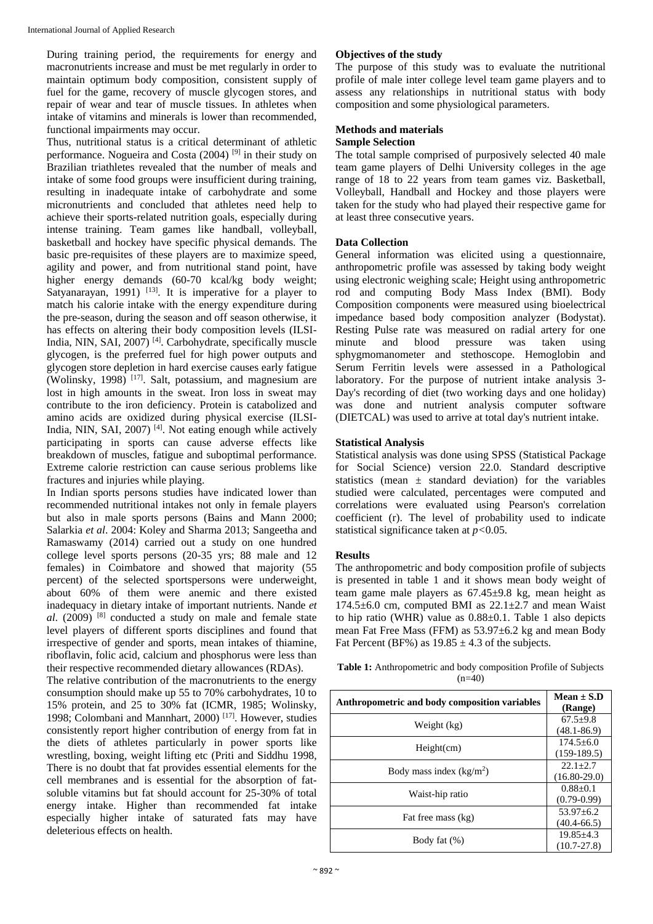During training period, the requirements for energy and macronutrients increase and must be met regularly in order to maintain optimum body composition, consistent supply of fuel for the game, recovery of muscle glycogen stores, and repair of wear and tear of muscle tissues. In athletes when intake of vitamins and minerals is lower than recommended, functional impairments may occur.

Thus, nutritional status is a critical determinant of athletic performance. Nogueira and Costa (2004)<sup>[9]</sup> in their study on Brazilian triathletes revealed that the number of meals and intake of some food groups were insufficient during training, resulting in inadequate intake of carbohydrate and some micronutrients and concluded that athletes need help to achieve their sports-related nutrition goals, especially during intense training. Team games like handball, volleyball, basketball and hockey have specific physical demands. The basic pre-requisites of these players are to maximize speed, agility and power, and from nutritional stand point, have higher energy demands (60-70 kcal/kg body weight; Satyanarayan, 1991)  $[13]$ . It is imperative for a player to match his calorie intake with the energy expenditure during the pre-season, during the season and off season otherwise, it has effects on altering their body composition levels (ILSI-India, NIN, SAI, 2007) [4] . Carbohydrate, specifically muscle glycogen, is the preferred fuel for high power outputs and glycogen store depletion in hard exercise causes early fatigue (Wolinsky, 1998) [17] . Salt, potassium, and magnesium are lost in high amounts in the sweat. Iron loss in sweat may contribute to the iron deficiency. Protein is catabolized and amino acids are oxidized during physical exercise (ILSI-India, NIN, SAI, 2007)<sup>[4]</sup>. Not eating enough while actively participating in sports can cause adverse effects like breakdown of muscles, fatigue and suboptimal performance. Extreme calorie restriction can cause serious problems like fractures and injuries while playing.

In Indian sports persons studies have indicated lower than recommended nutritional intakes not only in female players but also in male sports persons (Bains and Mann 2000; Salarkia *et al*. 2004: Koley and Sharma 2013; Sangeetha and Ramaswamy (2014) carried out a study on one hundred college level sports persons (20-35 yrs; 88 male and 12 females) in Coimbatore and showed that majority (55 percent) of the selected sportspersons were underweight, about 60% of them were anemic and there existed inadequacy in dietary intake of important nutrients. Nande *et al*. (2009) [8] conducted a study on male and female state level players of different sports disciplines and found that irrespective of gender and sports, mean intakes of thiamine, riboflavin, folic acid, calcium and phosphorus were less than their respective recommended dietary allowances (RDAs).

The relative contribution of the macronutrients to the energy consumption should make up 55 to 70% carbohydrates, 10 to 15% protein, and 25 to 30% fat (ICMR, 1985; Wolinsky, 1998; Colombani and Mannhart, 2000)<sup>[17]</sup>. However, studies consistently report higher contribution of energy from fat in the diets of athletes particularly in power sports like wrestling, boxing, weight lifting etc (Priti and Siddhu 1998, There is no doubt that fat provides essential elements for the cell membranes and is essential for the absorption of fatsoluble vitamins but fat should account for 25-30% of total energy intake. Higher than recommended fat intake especially higher intake of saturated fats may have deleterious effects on health.

### **Objectives of the study**

The purpose of this study was to evaluate the nutritional profile of male inter college level team game players and to assess any relationships in nutritional status with body composition and some physiological parameters.

#### **Methods and materials Sample Selection**

The total sample comprised of purposively selected 40 male team game players of Delhi University colleges in the age range of 18 to 22 years from team games viz. Basketball, Volleyball, Handball and Hockey and those players were taken for the study who had played their respective game for at least three consecutive years.

# **Data Collection**

General information was elicited using a questionnaire, anthropometric profile was assessed by taking body weight using electronic weighing scale; Height using anthropometric rod and computing Body Mass Index (BMI). Body Composition components were measured using bioelectrical impedance based body composition analyzer (Bodystat). Resting Pulse rate was measured on radial artery for one minute and blood pressure was taken using sphygmomanometer and stethoscope. Hemoglobin and Serum Ferritin levels were assessed in a Pathological laboratory. For the purpose of nutrient intake analysis 3- Day's recording of diet (two working days and one holiday) was done and nutrient analysis computer software (DIETCAL) was used to arrive at total day's nutrient intake.

### **Statistical Analysis**

Statistical analysis was done using SPSS (Statistical Package for Social Science) version 22.0. Standard descriptive statistics (mean  $\pm$  standard deviation) for the variables studied were calculated, percentages were computed and correlations were evaluated using Pearson's correlation coefficient (r). The level of probability used to indicate statistical significance taken at *p<*0.05.

#### **Results**

The anthropometric and body composition profile of subjects is presented in table 1 and it shows mean body weight of team game male players as 67.45±9.8 kg, mean height as 174.5 $\pm$ 6.0 cm, computed BMI as 22.1 $\pm$ 2.7 and mean Waist to hip ratio (WHR) value as  $0.88\pm0.1$ . Table 1 also depicts mean Fat Free Mass (FFM) as 53.97±6.2 kg and mean Body Fat Percent (BF%) as  $19.85 \pm 4.3$  of the subjects.

**Table 1:** Anthropometric and body composition Profile of Subjects  $(n=40)$ 

| Anthropometric and body composition variables | Mean $\pm$ S.D<br>(Range)          |
|-----------------------------------------------|------------------------------------|
| Weight (kg)                                   | $67.5 \pm 9.8$<br>$(48.1 - 86.9)$  |
| Height(cm)                                    | $174.5 \pm 6.0$<br>$(159-189.5)$   |
| Body mass index $(kg/m2)$                     | $22.1 + 2.7$<br>$(16.80-29.0)$     |
| Waist-hip ratio                               | $0.88 + 0.1$<br>$(0.79 - 0.99)$    |
| Fat free mass (kg)                            | $53.97 + 6.2$<br>$(40.4 - 66.5)$   |
| Body fat $(\%)$                               | $19.85 \pm 4.3$<br>$(10.7 - 27.8)$ |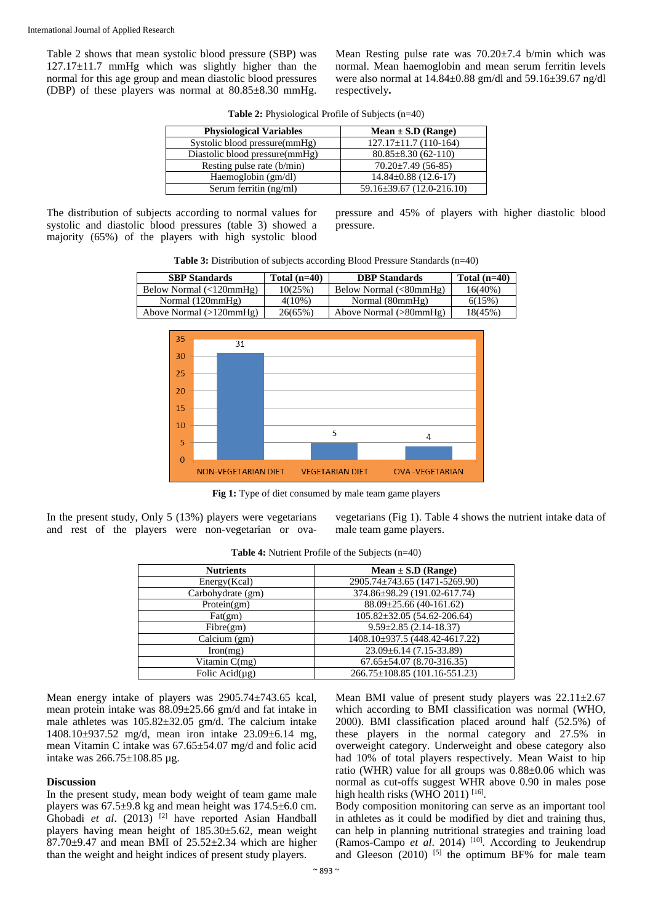Table 2 shows that mean systolic blood pressure (SBP) was 127.17±11.7 mmHg which was slightly higher than the normal for this age group and mean diastolic blood pressures (DBP) of these players was normal at 80.85±8.30 mmHg. Mean Resting pulse rate was 70.20±7.4 b/min which was normal. Mean haemoglobin and mean serum ferritin levels were also normal at 14.84±0.88 gm/dl and 59.16±39.67 ng/dl respectively**.**

| <b>Physiological Variables</b> | $Mean \pm S.D$ (Range)          |
|--------------------------------|---------------------------------|
| Systolic blood pressure(mmHg)  | $127.17 \pm 11.7$ (110-164)     |
| Diastolic blood pressure(mmHg) | $80.85 \pm 8.30(62 - 110)$      |
| Resting pulse rate (b/min)     | $70.20 \pm 7.49$ (56-85)        |
| Haemoglobin (gm/dl)            | $14.84 \pm 0.88$ (12.6-17)      |
| Serum ferritin (ng/ml)         | $59.16 \pm 39.67$ (12.0-216.10) |

**Table 2:** Physiological Profile of Subjects (n=40)

The distribution of subjects according to normal values for systolic and diastolic blood pressures (table 3) showed a majority (65%) of the players with high systolic blood

pressure and 45% of players with higher diastolic blood pressure.





Fig 1: Type of diet consumed by male team game players

In the present study, Only 5 (13%) players were vegetarians and rest of the players were non-vegetarian or ovavegetarians (Fig 1). Table 4 shows the nutrient intake data of male team game players.

| <b>Nutrients</b>     | $Mean \pm S.D$ (Range)              |
|----------------------|-------------------------------------|
| Energy(Kcal)         | 2905.74±743.65 (1471-5269.90)       |
| Carbohydrate (gm)    | 374.86±98.29 (191.02-617.74)        |
| Protein(gm)          | $88.09 \pm 25.66$ (40-161.62)       |
| Fat(gm)              | $105.82 \pm 32.05$ (54.62-206.64)   |
| Fibre(gm)            | $9.59 \pm 2.85$ (2.14-18.37)        |
| Calcium (gm)         | 1408.10±937.5 (448.42-4617.22)      |
| Iron(mg)             | $23.09 \pm 6.14$ (7.15-33.89)       |
| Vitamin $C(mg)$      | $67.65 \pm 54.07 (8.70 - 316.35)$   |
| Folic Acid $(\mu g)$ | $266.75 \pm 108.85$ (101.16-551.23) |

**Table 4:** Nutrient Profile of the Subjects (n=40)

Mean energy intake of players was 2905.74±743.65 kcal, mean protein intake was 88.09±25.66 gm/d and fat intake in male athletes was 105.82±32.05 gm/d. The calcium intake 1408.10±937.52 mg/d, mean iron intake 23.09±6.14 mg, mean Vitamin C intake was 67.65±54.07 mg/d and folic acid intake was 266.75±108.85 µg.

#### **Discussion**

In the present study, mean body weight of team game male players was 67.5±9.8 kg and mean height was 174.5±6.0 cm. Ghobadi *et al*. (2013) [2] have reported Asian Handball players having mean height of 185.30±5.62, mean weight 87.70±9.47 and mean BMI of 25.52±2.34 which are higher than the weight and height indices of present study players.

Mean BMI value of present study players was  $22.11 \pm 2.67$ which according to BMI classification was normal (WHO, 2000). BMI classification placed around half (52.5%) of these players in the normal category and 27.5% in overweight category. Underweight and obese category also had 10% of total players respectively. Mean Waist to hip ratio (WHR) value for all groups was 0.88±0.06 which was normal as cut-offs suggest WHR above 0.90 in males pose high health risks (WHO 2011)  $[16]$ .

Body composition monitoring can serve as an important tool in athletes as it could be modified by diet and training thus, can help in planning nutritional strategies and training load (Ramos-Campo et al. 2014)<sup>[10]</sup>. According to Jeukendrup and Gleeson  $(2010)$ <sup>[5]</sup> the optimum BF% for male team